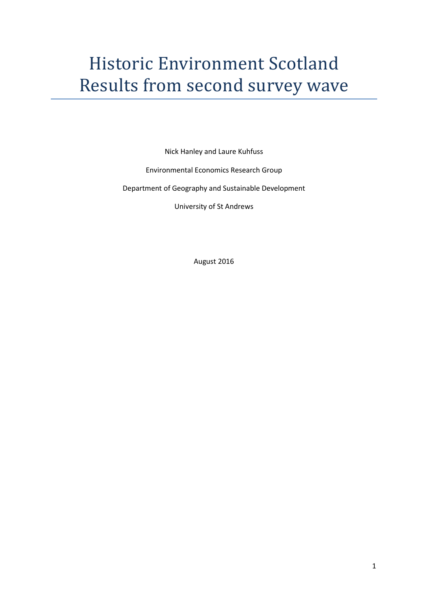# Historic Environment Scotland Results from second survey wave

Nick Hanley and Laure Kuhfuss

Environmental Economics Research Group

Department of Geography and Sustainable Development

University of St Andrews

August 2016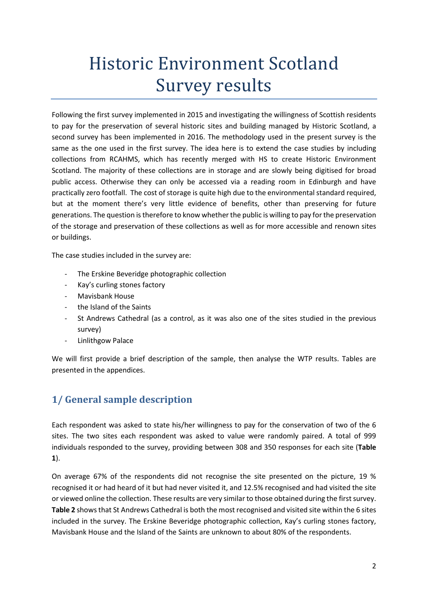# Historic Environment Scotland Survey results

Following the first survey implemented in 2015 and investigating the willingness of Scottish residents to pay for the preservation of several historic sites and building managed by Historic Scotland, a second survey has been implemented in 2016. The methodology used in the present survey is the same as the one used in the first survey. The idea here is to extend the case studies by including collections from RCAHMS, which has recently merged with HS to create Historic Environment Scotland. The majority of these collections are in storage and are slowly being digitised for broad public access. Otherwise they can only be accessed via a reading room in Edinburgh and have practically zero footfall. The cost of storage is quite high due to the environmental standard required, but at the moment there's very little evidence of benefits, other than preserving for future generations. The question is therefore to know whether the public is willing to pay for the preservation of the storage and preservation of these collections as well as for more accessible and renown sites or buildings.

The case studies included in the survey are:

- The Erskine Beveridge photographic collection
- Kay's curling stones factory
- Mavisbank House
- the Island of the Saints
- St Andrews Cathedral (as a control, as it was also one of the sites studied in the previous survey)
- Linlithgow Palace

We will first provide a brief description of the sample, then analyse the WTP results. Tables are presented in the appendices.

# **1/ General sample description**

Each respondent was asked to state his/her willingness to pay for the conservation of two of the 6 sites. The two sites each respondent was asked to value were randomly paired. A total of 999 individuals responded to the survey, providing between 308 and 350 responses for each site (**Table 1**).

On average 67% of the respondents did not recognise the site presented on the picture, 19 % recognised it or had heard of it but had never visited it, and 12.5% recognised and had visited the site or viewed online the collection. These results are very similar to those obtained during the first survey. **Table 2** shows that St Andrews Cathedral is both the most recognised and visited site within the 6 sites included in the survey. The Erskine Beveridge photographic collection, Kay's curling stones factory, Mavisbank House and the Island of the Saints are unknown to about 80% of the respondents.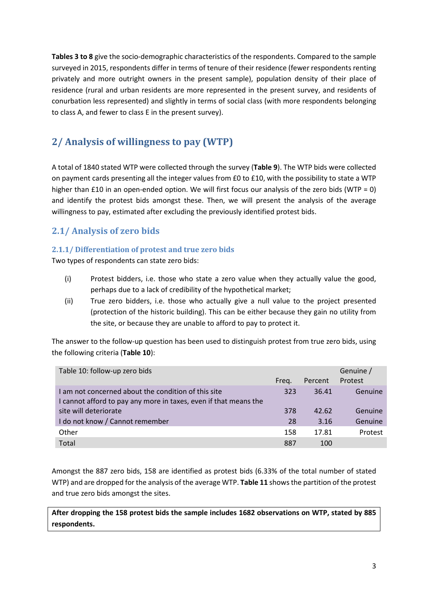**Tables 3 to 8** give the socio-demographic characteristics of the respondents. Compared to the sample surveyed in 2015, respondents differ in terms of tenure of their residence (fewer respondents renting privately and more outright owners in the present sample), population density of their place of residence (rural and urban residents are more represented in the present survey, and residents of conurbation less represented) and slightly in terms of social class (with more respondents belonging to class A, and fewer to class E in the present survey).

# **2/ Analysis of willingness to pay (WTP)**

A total of 1840 stated WTP were collected through the survey (**Table 9**). The WTP bids were collected on payment cards presenting all the integer values from £0 to £10, with the possibility to state a WTP higher than £10 in an open-ended option. We will first focus our analysis of the zero bids (WTP = 0) and identify the protest bids amongst these. Then, we will present the analysis of the average willingness to pay, estimated after excluding the previously identified protest bids.

# **2.1/ Analysis of zero bids**

### **2.1.1/ Differentiation of protest and true zero bids**

Two types of respondents can state zero bids:

- (i) Protest bidders, i.e. those who state a zero value when they actually value the good, perhaps due to a lack of credibility of the hypothetical market;
- (ii) True zero bidders, i.e. those who actually give a null value to the project presented (protection of the historic building). This can be either because they gain no utility from the site, or because they are unable to afford to pay to protect it.

The answer to the follow-up question has been used to distinguish protest from true zero bids, using the following criteria (**Table 10**):

| Table 10: follow-up zero bids                                    |       |         | Genuine / |
|------------------------------------------------------------------|-------|---------|-----------|
|                                                                  | Freg. | Percent | Protest   |
| I am not concerned about the condition of this site              | 323   | 36.41   | Genuine   |
| I cannot afford to pay any more in taxes, even if that means the |       |         |           |
| site will deteriorate                                            | 378   | 42.62   | Genuine   |
| I do not know / Cannot remember                                  | 28    | 3.16    | Genuine   |
| Other                                                            | 158   | 17.81   | Protest   |
| Total                                                            | 887   | 100     |           |

Amongst the 887 zero bids, 158 are identified as protest bids (6.33% of the total number of stated WTP) and are dropped for the analysis of the average WTP. **Table 11** shows the partition of the protest and true zero bids amongst the sites.

**After dropping the 158 protest bids the sample includes 1682 observations on WTP, stated by 885 respondents.**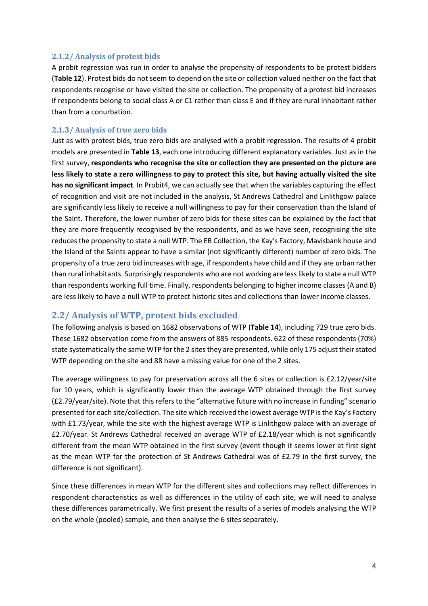#### **2.1.2/ Analysis of protest bids**

A probit regression was run in order to analyse the propensity of respondents to be protest bidders (**Table 12**). Protest bids do not seem to depend on the site or collection valued neither on the fact that respondents recognise or have visited the site or collection. The propensity of a protest bid increases if respondents belong to social class A or C1 rather than class E and if they are rural inhabitant rather than from a conurbation.

#### **2.1.3/ Analysis of true zero bids**

Just as with protest bids, true zero bids are analysed with a probit regression. The results of 4 probit models are presented in **Table 13**, each one introducing different explanatory variables. Just as in the first survey, **respondents who recognise the site or collection they are presented on the picture are less likely to state a zero willingness to pay to protect this site, but having actually visited the site has no significant impact**. In Probit4, we can actually see that when the variables capturing the effect of recognition and visit are not included in the analysis, St Andrews Cathedral and Linlithgow palace are significantly less likely to receive a null willingness to pay for their conservation than the Island of the Saint. Therefore, the lower number of zero bids for these sites can be explained by the fact that they are more frequently recognised by the respondents, and as we have seen, recognising the site reduces the propensity to state a null WTP. The EB Collection, the Kay's Factory, Mavisbank house and the Island of the Saints appear to have a similar (not significantly different) number of zero bids. The propensity of a true zero bid increases with age, if respondents have child and if they are urban rather than rural inhabitants. Surprisingly respondents who are not working are less likely to state a null WTP than respondents working full time. Finally, respondents belonging to higher income classes (A and B) are less likely to have a null WTP to protect historic sites and collections than lower income classes.

### **2.2/ Analysis of WTP, protest bids excluded**

The following analysis is based on 1682 observations of WTP (**Table 14**), including 729 true zero bids. These 1682 observation come from the answers of 885 respondents. 622 of these respondents (70%) state systematically the same WTP for the 2 sites they are presented, while only 175 adjust their stated WTP depending on the site and 88 have a missing value for one of the 2 sites.

The average willingness to pay for preservation across all the 6 sites or collection is £2.12/year/site for 10 years, which is significantly lower than the average WTP obtained through the first survey (£2.79/year/site). Note that this refers to the "alternative future with no increase in funding" scenario presented for each site/collection. The site which received the lowest average WTP is the Kay's Factory with £1.73/year, while the site with the highest average WTP is Linlithgow palace with an average of £2.70/year. St Andrews Cathedral received an average WTP of £2.18/year which is not significantly different from the mean WTP obtained in the first survey (event though it seems lower at first sight as the mean WTP for the protection of St Andrews Cathedral was of £2.79 in the first survey, the difference is not significant).

Since these differences in mean WTP for the different sites and collections may reflect differences in respondent characteristics as well as differences in the utility of each site, we will need to analyse these differences parametrically. We first present the results of a series of models analysing the WTP on the whole (pooled) sample, and then analyse the 6 sites separately.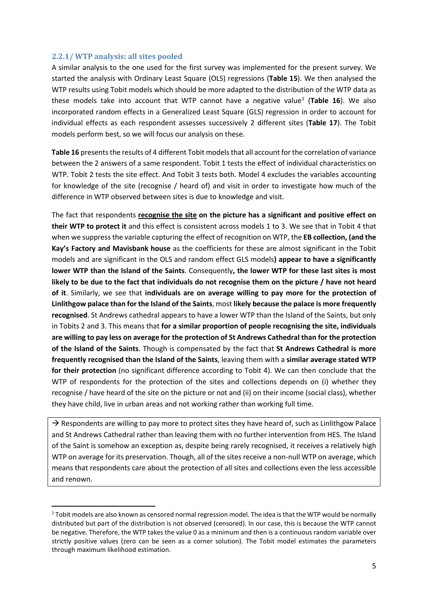#### **2.2.1/ WTP analysis: all sites pooled**

A similar analysis to the one used for the first survey was implemented for the present survey. We started the analysis with Ordinary Least Square (OLS) regressions (**Table 15**). We then analysed the WTP results using Tobit models which should be more adapted to the distribution of the WTP data as these models take into account that WTP cannot have a negative value<sup>[1](#page-4-0)</sup> (Table 16). We also incorporated random effects in a Generalized Least Square (GLS) regression in order to account for individual effects as each respondent assesses successively 2 different sites (**Table 17**). The Tobit models perform best, so we will focus our analysis on these.

Table 16 presents the results of 4 different Tobit models that all account for the correlation of variance between the 2 answers of a same respondent. Tobit 1 tests the effect of individual characteristics on WTP. Tobit 2 tests the site effect. And Tobit 3 tests both. Model 4 excludes the variables accounting for knowledge of the site (recognise / heard of) and visit in order to investigate how much of the difference in WTP observed between sites is due to knowledge and visit.

The fact that respondents **recognise the site on the picture has a significant and positive effect on their WTP to protect it** and this effect is consistent across models 1 to 3. We see that in Tobit 4 that when we suppress the variable capturing the effect of recognition on WTP, the **EB collection, (and the Kay's Factory and Mavisbank house** as the coefficients for these are almost significant in the Tobit models and are significant in the OLS and random effect GLS models**) appear to have a significantly lower WTP than the Island of the Saints**. Consequently**, the lower WTP for these last sites is most likely to be due to the fact that individuals do not recognise them on the picture / have not heard of it**. Similarly, we see that **individuals are on average willing to pay more for the protection of Linlithgow palace than for the Island of the Saints**, most **likely because the palace is more frequently recognised**. St Andrews cathedral appears to have a lower WTP than the Island of the Saints, but only in Tobits 2 and 3. This means that **for a similar proportion of people recognising the site, individuals are willing to pay less on average for the protection of St Andrews Cathedral than for the protection of the Island of the Saints**. Though is compensated by the fact that **St Andrews Cathedral is more frequently recognised than the Island of the Saints**, leaving them with a **similar average stated WTP for their protection** (no significant difference according to Tobit 4). We can then conclude that the WTP of respondents for the protection of the sites and collections depends on (i) whether they recognise / have heard of the site on the picture or not and (ii) on their income (social class), whether they have child, live in urban areas and not working rather than working full time.

 $\rightarrow$  Respondents are willing to pay more to protect sites they have heard of, such as Linlithgow Palace and St Andrews Cathedral rather than leaving them with no further intervention from HES. The Island of the Saint is somehow an exception as, despite being rarely recognised, it receives a relatively high WTP on average for its preservation. Though, all of the sites receive a non-null WTP on average, which means that respondents care about the protection of all sites and collections even the less accessible and renown.

<span id="page-4-0"></span><sup>&</sup>lt;sup>1</sup> Tobit models are also known as censored normal regression model. The idea is that the WTP would be normally distributed but part of the distribution is not observed (censored). In our case, this is because the WTP cannot be negative. Therefore, the WTP takes the value 0 as a minimum and then is a continuous random variable over strictly positive values (zero can be seen as a corner solution). The Tobit model estimates the parameters through maximum likelihood estimation.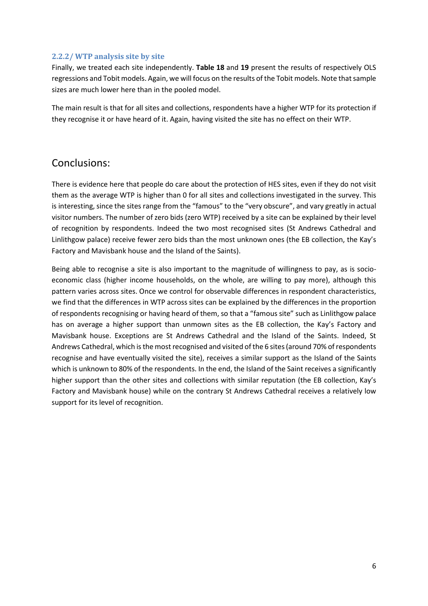#### **2.2.2/ WTP analysis site by site**

Finally, we treated each site independently. **Table 18** and **19** present the results of respectively OLS regressions and Tobit models. Again, we will focus on the results of the Tobit models. Note that sample sizes are much lower here than in the pooled model.

The main result is that for all sites and collections, respondents have a higher WTP for its protection if they recognise it or have heard of it. Again, having visited the site has no effect on their WTP.

# Conclusions:

There is evidence here that people do care about the protection of HES sites, even if they do not visit them as the average WTP is higher than 0 for all sites and collections investigated in the survey. This is interesting, since the sites range from the "famous" to the "very obscure", and vary greatly in actual visitor numbers. The number of zero bids (zero WTP) received by a site can be explained by their level of recognition by respondents. Indeed the two most recognised sites (St Andrews Cathedral and Linlithgow palace) receive fewer zero bids than the most unknown ones (the EB collection, the Kay's Factory and Mavisbank house and the Island of the Saints).

Being able to recognise a site is also important to the magnitude of willingness to pay, as is socioeconomic class (higher income households, on the whole, are willing to pay more), although this pattern varies across sites. Once we control for observable differences in respondent characteristics, we find that the differences in WTP across sites can be explained by the differences in the proportion of respondents recognising or having heard of them, so that a "famous site" such as Linlithgow palace has on average a higher support than unmown sites as the EB collection, the Kay's Factory and Mavisbank house. Exceptions are St Andrews Cathedral and the Island of the Saints. Indeed, St Andrews Cathedral, which is the most recognised and visited of the 6 sites (around 70% of respondents recognise and have eventually visited the site), receives a similar support as the Island of the Saints which is unknown to 80% of the respondents. In the end, the Island of the Saint receives a significantly higher support than the other sites and collections with similar reputation (the EB collection, Kay's Factory and Mavisbank house) while on the contrary St Andrews Cathedral receives a relatively low support for its level of recognition.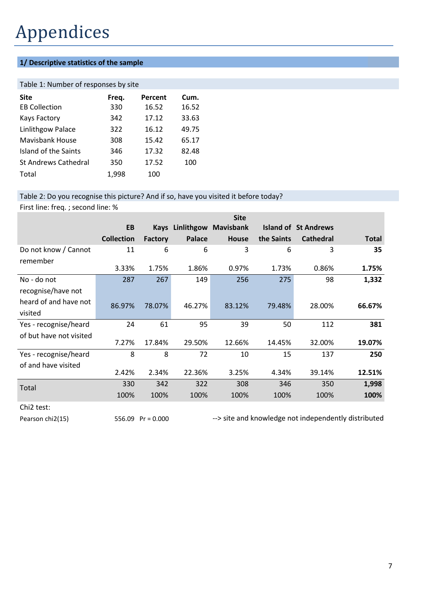# Appendices

## **1/ Descriptive statistics of the sample**

#### Table 1: Number of responses by site

| <b>Site</b>                 | Freq. | Percent | Cum.  |
|-----------------------------|-------|---------|-------|
| <b>EB Collection</b>        | 330   | 16.52   | 16.52 |
| <b>Kays Factory</b>         | 342   | 17.12   | 33.63 |
| Linlithgow Palace           | 322   | 16.12   | 49.75 |
| Mavisbank House             | 308   | 15.42   | 65.17 |
| Island of the Saints        | 346   | 17.32   | 82.48 |
| <b>St Andrews Cathedral</b> | 350   | 17.52   | 100   |
| Total                       | 1,998 | 100     |       |

#### Table 2: Do you recognise this picture? And if so, have you visited it before today?

First line: freq. ; second line: %

|                                  |                   |             |            | <b>Site</b>      |            |                             |              |
|----------------------------------|-------------------|-------------|------------|------------------|------------|-----------------------------|--------------|
|                                  | EB                | <b>Kays</b> | Linlithgow | <b>Mavisbank</b> |            | <b>Island of St Andrews</b> |              |
|                                  | <b>Collection</b> | Factory     | Palace     | <b>House</b>     | the Saints | <b>Cathedral</b>            | <b>Total</b> |
| Do not know / Cannot<br>remember | 11                | 6           | 6          | 3                | 6          | 3                           | 35           |
|                                  | 3.33%             | 1.75%       | 1.86%      | 0.97%            | 1.73%      | 0.86%                       | 1.75%        |
| No - do not                      | 287               | 267         | 149        | 256              | 275        | 98                          | 1,332        |
| recognise/have not               |                   |             |            |                  |            |                             |              |
| heard of and have not            | 86.97%            | 78.07%      | 46.27%     | 83.12%           | 79.48%     | 28.00%                      | 66.67%       |
| visited                          |                   |             |            |                  |            |                             |              |
| Yes - recognise/heard            | 24                | 61          | 95         | 39               | 50         | 112                         | 381          |
| of but have not visited          | 7.27%             | 17.84%      | 29.50%     | 12.66%           | 14.45%     | 32.00%                      | 19.07%       |
| Yes - recognise/heard            | 8                 | 8           | 72         | 10               | 15         | 137                         | 250          |
| of and have visited              | 2.42%             | 2.34%       | 22.36%     | 3.25%            | 4.34%      | 39.14%                      | 12.51%       |
| Total                            | 330               | 342         | 322        | 308              | 346        | 350                         | 1,998        |
|                                  | 100%              | 100%        | 100%       | 100%             | 100%       | 100%                        | 100%         |
|                                  |                   |             |            |                  |            |                             |              |

Chi2 test:

Pearson chi2(15) 556.09 Pr = 0.000 --> site and knowledge not independently distributed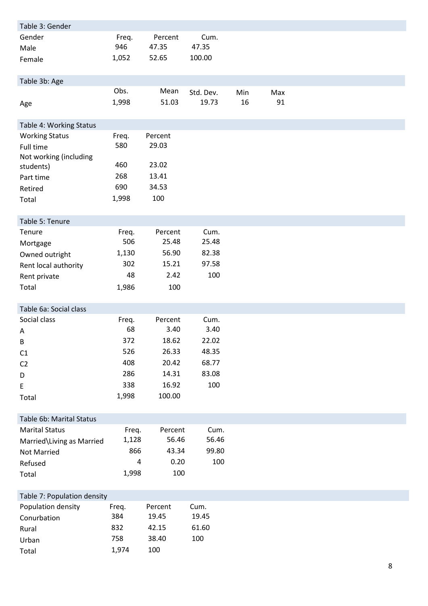| Table 3: Gender             |       |         |           |     |     |  |  |
|-----------------------------|-------|---------|-----------|-----|-----|--|--|
| Gender                      | Freq. | Percent | Cum.      |     |     |  |  |
| Male                        | 946   | 47.35   | 47.35     |     |     |  |  |
| Female                      | 1,052 | 52.65   | 100.00    |     |     |  |  |
|                             |       |         |           |     |     |  |  |
| Table 3b: Age               |       |         |           |     |     |  |  |
|                             | Obs.  | Mean    | Std. Dev. | Min | Max |  |  |
| Age                         | 1,998 | 51.03   | 19.73     | 16  | 91  |  |  |
|                             |       |         |           |     |     |  |  |
| Table 4: Working Status     |       |         |           |     |     |  |  |
| <b>Working Status</b>       | Freq. | Percent |           |     |     |  |  |
| Full time                   | 580   | 29.03   |           |     |     |  |  |
| Not working (including      |       |         |           |     |     |  |  |
| students)                   | 460   | 23.02   |           |     |     |  |  |
| Part time                   | 268   | 13.41   |           |     |     |  |  |
| Retired                     | 690   | 34.53   |           |     |     |  |  |
| Total                       | 1,998 | 100     |           |     |     |  |  |
|                             |       |         |           |     |     |  |  |
| Table 5: Tenure             |       |         |           |     |     |  |  |
| Tenure                      | Freq. | Percent | Cum.      |     |     |  |  |
| Mortgage                    | 506   | 25.48   | 25.48     |     |     |  |  |
| Owned outright              | 1,130 | 56.90   | 82.38     |     |     |  |  |
| Rent local authority        | 302   | 15.21   | 97.58     |     |     |  |  |
| Rent private                | 48    | 2.42    | 100       |     |     |  |  |
| Total                       | 1,986 | 100     |           |     |     |  |  |
|                             |       |         |           |     |     |  |  |
| Table 6a: Social class      |       |         |           |     |     |  |  |
| Social class                | Freq. | Percent | Cum.      |     |     |  |  |
| Α                           | 68    | 3.40    | 3.40      |     |     |  |  |
| В                           | 372   | 18.62   | 22.02     |     |     |  |  |
| C1                          | 526   | 26.33   | 48.35     |     |     |  |  |
| C <sub>2</sub>              | 408   | 20.42   | 68.77     |     |     |  |  |
| D                           | 286   | 14.31   | 83.08     |     |     |  |  |
| E                           | 338   | 16.92   | 100       |     |     |  |  |
| Total                       | 1,998 | 100.00  |           |     |     |  |  |
|                             |       |         |           |     |     |  |  |
| Table 6b: Marital Status    |       |         |           |     |     |  |  |
| <b>Marital Status</b>       | Freq. | Percent | Cum.      |     |     |  |  |
| Married\Living as Married   | 1,128 | 56.46   | 56.46     |     |     |  |  |
| Not Married                 | 866   | 43.34   | 99.80     |     |     |  |  |
| Refused                     | 4     | 0.20    | 100       |     |     |  |  |
| Total                       | 1,998 | 100     |           |     |     |  |  |
|                             |       |         |           |     |     |  |  |
| Table 7: Population density |       |         |           |     |     |  |  |
| Population density          | Freq. | Percent | Cum.      |     |     |  |  |
| Conurbation                 | 384   | 19.45   | 19.45     |     |     |  |  |
| Rural                       | 832   | 42.15   | 61.60     |     |     |  |  |
| Urban                       | 758   | 38.40   | 100       |     |     |  |  |
| Total                       | 1,974 | 100     |           |     |     |  |  |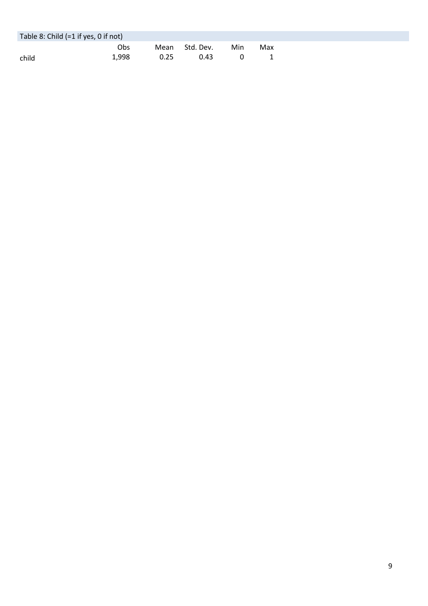| Table 8: Child $(=1$ if yes, 0 if not) |       |      |                |     |     |
|----------------------------------------|-------|------|----------------|-----|-----|
|                                        | Obs   |      | Mean Std. Dev. | Min | Max |
| child                                  | 1.998 | 0.25 | 0.43           |     |     |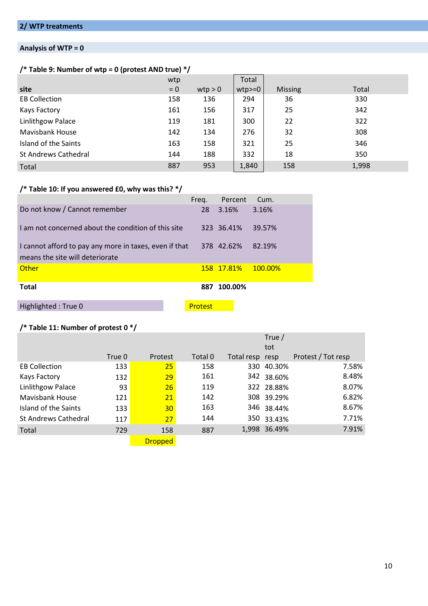## **Analysis of WTP = 0**

## **/\* Table 9: Number of wtp = 0 (protest AND true) \*/**

|                             | wtp   |         | Total    |                |       |
|-----------------------------|-------|---------|----------|----------------|-------|
| site                        | $= 0$ | wtp > 0 | $wtp>=0$ | <b>Missing</b> | Total |
| <b>EB Collection</b>        | 158   | 136     | 294      | 36             | 330   |
| Kays Factory                | 161   | 156     | 317      | 25             | 342   |
| <b>Linlithgow Palace</b>    | 119   | 181     | 300      | 22             | 322   |
| <b>Mavisbank House</b>      | 142   | 134     | 276      | 32             | 308   |
| Island of the Saints        | 163   | 158     | 321      | 25             | 346   |
| <b>St Andrews Cathedral</b> | 144   | 188     | 332      | 18             | 350   |
| Total                       | 887   | 953     | 1,840    | 158            | 1,998 |

## **/\* Table 10: If you answered £0, why was this? \*/**

|                                                                                           | Freg.   | Percent            | Cum.        |
|-------------------------------------------------------------------------------------------|---------|--------------------|-------------|
| Do not know / Cannot remember                                                             | 28      | 3.16%              | 3.16%       |
| I am not concerned about the condition of this site                                       |         | 323 36.41%         | 39.57%      |
| I cannot afford to pay any more in taxes, even if that<br>means the site will deteriorate |         | 378 42.62%         | 82.19%      |
|                                                                                           |         |                    |             |
| Other                                                                                     |         | <u>158 17.81% </u> | $-100.00\%$ |
| <b>Total</b>                                                                              | 887     | 100.00%            |             |
| Highlighted: True 0                                                                       | Protest |                    |             |

## **/\* Table 11: Number of protest 0 \*/**

|                             |        |                |         |                 | True /       |                    |
|-----------------------------|--------|----------------|---------|-----------------|--------------|--------------------|
|                             |        |                |         |                 | tot          |                    |
|                             | True 0 | Protest        | Total 0 | Total resp resp |              | Protest / Tot resp |
| <b>EB Collection</b>        | 133    | 25             | 158     |                 | 330 40.30%   | 7.58%              |
| Kays Factory                | 132    | 29             | 161     |                 | 342 38.60%   | 8.48%              |
| Linlithgow Palace           | 93     | 26             | 119     |                 | 322 28.88%   | 8.07%              |
| <b>Mavisbank House</b>      | 121    | 21             | 142     |                 | 308 39.29%   | 6.82%              |
| Island of the Saints        | 133    | 30             | 163     |                 | 346 38.44%   | 8.67%              |
| <b>St Andrews Cathedral</b> | 117    | 27             | 144     |                 | 350 33.43%   | 7.71%              |
| Total                       | 729    | 158            | 887     |                 | 1,998 36.49% | 7.91%              |
|                             |        | <b>Dropped</b> |         |                 |              |                    |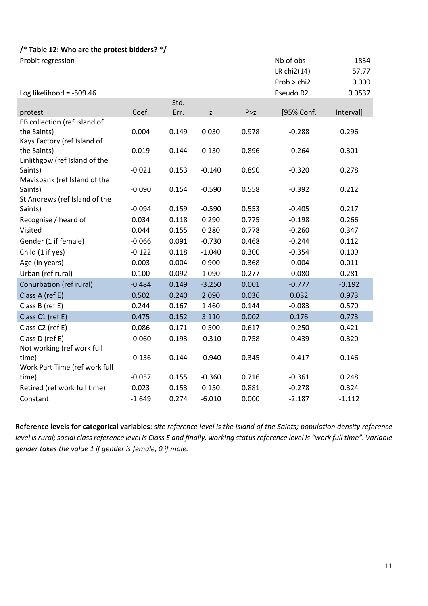## **/\* Table 12: Who are the protest bidders? \*/**

| Probit regression                       |          |       |          |       | Nb of obs   | 1834      |
|-----------------------------------------|----------|-------|----------|-------|-------------|-----------|
|                                         |          |       |          |       | LR chi2(14) | 57.77     |
|                                         |          |       |          |       | Prob > chi2 | 0.000     |
| Log likelihood = $-509.46$              |          |       |          |       | Pseudo R2   | 0.0537    |
|                                         |          | Std.  |          |       |             |           |
| protest                                 | Coef.    | Err.  | Z        | P > z | [95% Conf.  | Interval] |
| EB collection (ref Island of            |          |       |          |       |             |           |
| the Saints)                             | 0.004    | 0.149 | 0.030    | 0.978 | $-0.288$    | 0.296     |
| Kays Factory (ref Island of             |          |       |          |       |             |           |
| the Saints)                             | 0.019    | 0.144 | 0.130    | 0.896 | $-0.264$    | 0.301     |
| Linlithgow (ref Island of the           |          |       |          |       |             |           |
| Saints)                                 | $-0.021$ | 0.153 | $-0.140$ | 0.890 | $-0.320$    | 0.278     |
| Mavisbank (ref Island of the<br>Saints) | $-0.090$ | 0.154 | $-0.590$ | 0.558 | $-0.392$    | 0.212     |
| St Andrews (ref Island of the           |          |       |          |       |             |           |
| Saints)                                 | $-0.094$ | 0.159 | $-0.590$ | 0.553 | $-0.405$    | 0.217     |
| Recognise / heard of                    | 0.034    | 0.118 | 0.290    | 0.775 | $-0.198$    | 0.266     |
| Visited                                 | 0.044    | 0.155 | 0.280    | 0.778 | $-0.260$    | 0.347     |
| Gender (1 if female)                    | $-0.066$ | 0.091 | $-0.730$ | 0.468 | $-0.244$    | 0.112     |
|                                         |          |       |          |       |             |           |
| Child (1 if yes)                        | $-0.122$ | 0.118 | $-1.040$ | 0.300 | $-0.354$    | 0.109     |
| Age (in years)                          | 0.003    | 0.004 | 0.900    | 0.368 | $-0.004$    | 0.011     |
| Urban (ref rural)                       | 0.100    | 0.092 | 1.090    | 0.277 | $-0.080$    | 0.281     |
| Conurbation (ref rural)                 | $-0.484$ | 0.149 | $-3.250$ | 0.001 | $-0.777$    | $-0.192$  |
| Class A (ref E)                         | 0.502    | 0.240 | 2.090    | 0.036 | 0.032       | 0.973     |
| Class B (ref E)                         | 0.244    | 0.167 | 1.460    | 0.144 | $-0.083$    | 0.570     |
| Class C1 (ref E)                        | 0.475    | 0.152 | 3.110    | 0.002 | 0.176       | 0.773     |
| Class C2 (ref E)                        | 0.086    | 0.171 | 0.500    | 0.617 | $-0.250$    | 0.421     |
| Class D (ref E)                         | $-0.060$ | 0.193 | $-0.310$ | 0.758 | $-0.439$    | 0.320     |
| Not working (ref work full              |          |       |          |       |             |           |
| time)                                   | $-0.136$ | 0.144 | $-0.940$ | 0.345 | $-0.417$    | 0.146     |
| Work Part Time (ref work full           |          |       |          |       |             |           |
| time)                                   | $-0.057$ | 0.155 | $-0.360$ | 0.716 | $-0.361$    | 0.248     |
| Retired (ref work full time)            | 0.023    | 0.153 | 0.150    | 0.881 | $-0.278$    | 0.324     |
| Constant                                | $-1.649$ | 0.274 | $-6.010$ | 0.000 | $-2.187$    | $-1.112$  |

**Reference levels for categorical variables**: *site reference level is the Island of the Saints; population density reference level is rural; social class reference level is Class E and finally, working status reference level is "work full time". Variable gender takes the value 1 if gender is female, 0 if male.*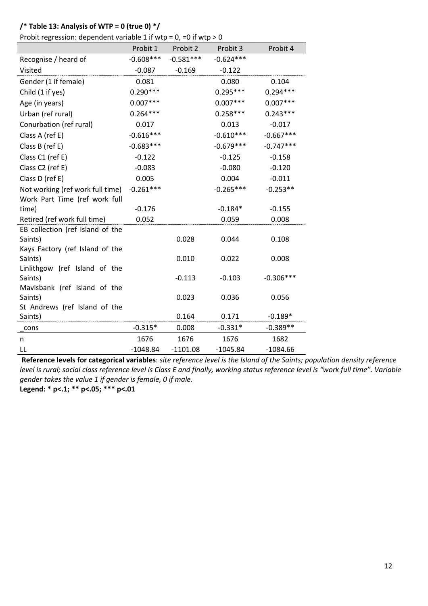### **/\* Table 13: Analysis of WTP = 0 (true 0) \*/**

Probit regression: dependent variable 1 if wtp =  $0$ , = 0 if wtp >  $0$ 

|                                          | Probit 1    | Probit 2    | Probit 3    | Probit 4    |
|------------------------------------------|-------------|-------------|-------------|-------------|
| Recognise / heard of                     | $-0.608***$ | $-0.581***$ | $-0.624***$ |             |
| Visited                                  | $-0.087$    | $-0.169$    | $-0.122$    |             |
| Gender (1 if female)                     | 0.081       |             | 0.080       | 0.104       |
| Child (1 if yes)                         | $0.290***$  |             | $0.295***$  | $0.294***$  |
| Age (in years)                           | $0.007***$  |             | $0.007***$  | $0.007***$  |
| Urban (ref rural)                        | $0.264***$  |             | $0.258***$  | $0.243***$  |
| Conurbation (ref rural)                  | 0.017       |             | 0.013       | $-0.017$    |
| Class A (ref E)                          | $-0.616***$ |             | $-0.610***$ | $-0.667***$ |
| Class B (ref E)                          | $-0.683***$ |             | $-0.679***$ | $-0.747***$ |
| Class C1 (ref E)                         | $-0.122$    |             | $-0.125$    | $-0.158$    |
| Class C2 (ref E)                         | $-0.083$    |             | $-0.080$    | $-0.120$    |
| Class D (ref E)                          | 0.005       |             | 0.004       | $-0.011$    |
| Not working (ref work full time)         | $-0.261***$ |             | $-0.265***$ | $-0.253**$  |
| Work Part Time (ref work full            |             |             |             |             |
| time)                                    | $-0.176$    |             | $-0.184*$   | $-0.155$    |
| Retired (ref work full time)             | 0.052       |             | 0.059       | 0.008       |
| EB collection (ref Island of the         |             |             |             |             |
| Saints)                                  |             | 0.028       | 0.044       | 0.108       |
| Kays Factory (ref Island of the          |             |             |             |             |
| Saints)                                  |             | 0.010       | 0.022       | 0.008       |
| Linlithgow (ref Island of the<br>Saints) |             | $-0.113$    | $-0.103$    | $-0.306***$ |
| Mavisbank (ref Island of the             |             |             |             |             |
| Saints)                                  |             | 0.023       | 0.036       | 0.056       |
| St Andrews (ref Island of the            |             |             |             |             |
| Saints)                                  |             | 0.164       | 0.171       | $-0.189*$   |
| cons                                     | $-0.315*$   | 0.008       | $-0.331*$   | $-0.389**$  |
| n                                        | 1676        | 1676        | 1676        | 1682        |
| LL                                       | $-1048.84$  | $-1101.08$  | $-1045.84$  | $-1084.66$  |

**Reference levels for categorical variables**: *site reference level is the Island of the Saints; population density reference level is rural; social class reference level is Class E and finally, working status reference level is "work full time". Variable gender takes the value 1 if gender is female, 0 if male.*

**Legend: \* p<.1; \*\* p<.05; \*\*\* p<.01**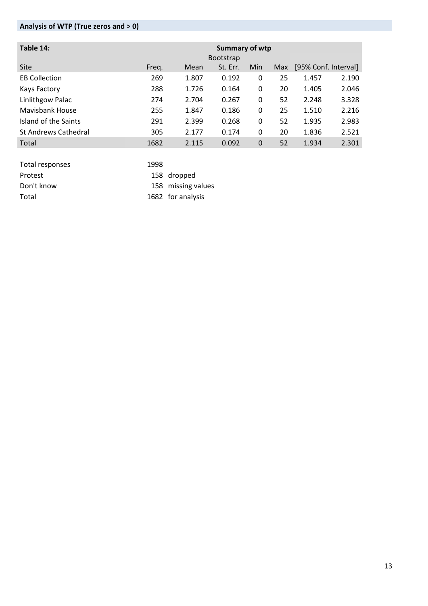# **Analysis of WTP (True zeros and > 0)**

| Table 14:                   | Summary of wtp<br><b>Bootstrap</b> |       |          |     |            |       |                      |
|-----------------------------|------------------------------------|-------|----------|-----|------------|-------|----------------------|
| Site                        | Freq.                              | Mean  | St. Err. | Min | <b>Max</b> |       | [95% Conf. Interval] |
| <b>EB Collection</b>        | 269                                | 1.807 | 0.192    | 0   | 25         | 1.457 | 2.190                |
| Kays Factory                | 288                                | 1.726 | 0.164    | 0   | 20         | 1.405 | 2.046                |
| Linlithgow Palac            | 274                                | 2.704 | 0.267    | 0   | 52         | 2.248 | 3.328                |
| Mavisbank House             | 255                                | 1.847 | 0.186    | 0   | 25         | 1.510 | 2.216                |
| Island of the Saints        | 291                                | 2.399 | 0.268    | 0   | 52         | 1.935 | 2.983                |
| <b>St Andrews Cathedral</b> | 305                                | 2.177 | 0.174    | 0   | 20         | 1.836 | 2.521                |
| Total                       | 1682                               | 2.115 | 0.092    | 0   | 52         | 1.934 | 2.301                |

| Total responses | 1998 |                    |
|-----------------|------|--------------------|
| Protest         |      | 158 dropped        |
| Don't know      |      | 158 missing values |
| Total           |      | 1682 for analysis  |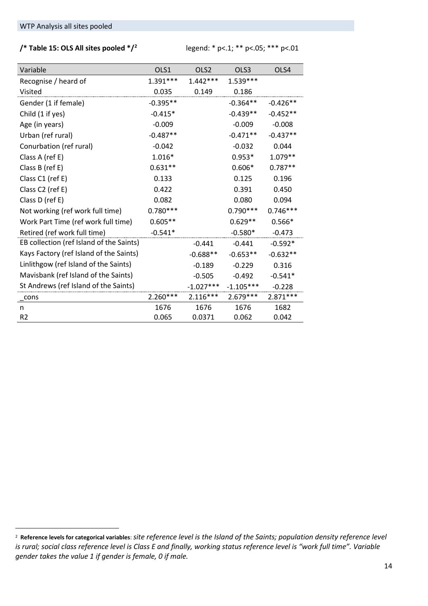## **/\* Table 15: OLS All sites pooled \*/[2](#page-14-0)** legend: \* p<.1; \*\* p<.05; \*\*\* p<.01

| Variable                                 | OLS1       | OLS <sub>2</sub> | OLS3        | OLS4       |
|------------------------------------------|------------|------------------|-------------|------------|
| Recognise / heard of                     | $1.391***$ | $1.442***$       | $1.539***$  |            |
| Visited                                  | 0.035      | 0.149            | 0.186       |            |
| Gender (1 if female)                     | $-0.395**$ |                  | $-0.364**$  | $-0.426**$ |
| Child (1 if yes)                         | $-0.415*$  |                  | $-0.439**$  | $-0.452**$ |
| Age (in years)                           | $-0.009$   |                  | $-0.009$    | $-0.008$   |
| Urban (ref rural)                        | $-0.487**$ |                  | $-0.471**$  | $-0.437**$ |
| Conurbation (ref rural)                  | $-0.042$   |                  | $-0.032$    | 0.044      |
| Class A (ref E)                          | $1.016*$   |                  | $0.953*$    | $1.079**$  |
| Class B (ref E)                          | $0.631**$  |                  | $0.606*$    | $0.787**$  |
| Class C1 (ref E)                         | 0.133      |                  | 0.125       | 0.196      |
| Class C2 (ref E)                         | 0.422      |                  | 0.391       | 0.450      |
| Class D (ref E)                          | 0.082      |                  | 0.080       | 0.094      |
| Not working (ref work full time)         | $0.780***$ |                  | $0.790***$  | $0.746***$ |
| Work Part Time (ref work full time)      | $0.605**$  |                  | $0.629**$   | $0.566*$   |
| Retired (ref work full time)             | $-0.541*$  |                  | $-0.580*$   | $-0.473$   |
| EB collection (ref Island of the Saints) |            | $-0.441$         | $-0.441$    | $-0.592*$  |
| Kays Factory (ref Island of the Saints)  |            | $-0.688**$       | $-0.653**$  | $-0.632**$ |
| Linlithgow (ref Island of the Saints)    |            | $-0.189$         | $-0.229$    | 0.316      |
| Mavisbank (ref Island of the Saints)     |            | $-0.505$         | $-0.492$    | $-0.541*$  |
| St Andrews (ref Island of the Saints)    |            | $-1.027***$      | $-1.105***$ | $-0.228$   |
| $\_cons$                                 | $2.260***$ | $2.116***$       | $2.679***$  | $2.871***$ |
| n                                        | 1676       | 1676             | 1676        | 1682       |
| R <sub>2</sub>                           | 0.065      | 0.0371           | 0.062       | 0.042      |

 <sup>2</sup> **Reference levels for categorical variables**: *site reference level is the Island of the Saints; population density reference level is rural; social class reference level is Class E and finally, working status reference level is "work full time". Variable gender takes the value 1 if gender is female, 0 if male.*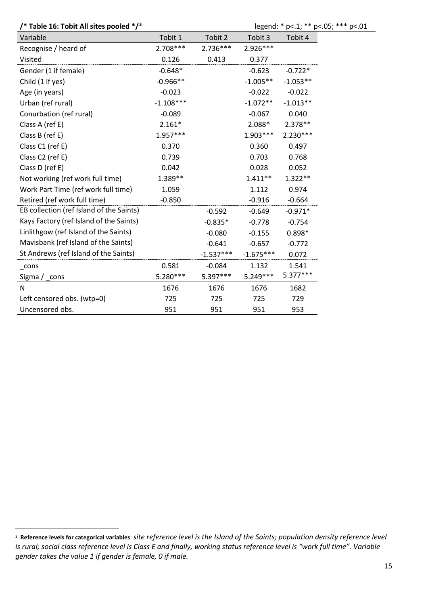**/\* Table 16: Tobit All sites pooled \*/[3](#page-15-0)** legend: \* p<.1; \*\* p<.05; \*\*\* p<.01

| Variable                                 | Tobit 1     | Tobit 2     | Tobit 3     | Tobit 4    |
|------------------------------------------|-------------|-------------|-------------|------------|
| Recognise / heard of                     | $2.708***$  | 2.736***    | 2.926***    |            |
| Visited                                  | 0.126       | 0.413       | 0.377       |            |
| Gender (1 if female)                     | $-0.648*$   |             | $-0.623$    | $-0.722*$  |
| Child (1 if yes)                         | $-0.966**$  |             | $-1.005**$  | $-1.053**$ |
| Age (in years)                           | $-0.023$    |             | $-0.022$    | $-0.022$   |
| Urban (ref rural)                        | $-1.108***$ |             | $-1.072**$  | $-1.013**$ |
| Conurbation (ref rural)                  | $-0.089$    |             | $-0.067$    | 0.040      |
| Class A (ref E)                          | $2.161*$    |             | 2.088*      | 2.378 **   |
| Class B (ref E)                          | $1.957***$  |             | 1.903***    | 2.230***   |
| Class C1 (ref E)                         | 0.370       |             | 0.360       | 0.497      |
| Class C2 (ref E)                         | 0.739       |             | 0.703       | 0.768      |
| Class D (ref E)                          | 0.042       |             | 0.028       | 0.052      |
| Not working (ref work full time)         | 1.389**     |             | $1.411**$   | $1.322**$  |
| Work Part Time (ref work full time)      | 1.059       |             | 1.112       | 0.974      |
| Retired (ref work full time)             | $-0.850$    |             | $-0.916$    | $-0.664$   |
| EB collection (ref Island of the Saints) |             | $-0.592$    | $-0.649$    | $-0.971*$  |
| Kays Factory (ref Island of the Saints)  |             | $-0.835*$   | $-0.778$    | $-0.754$   |
| Linlithgow (ref Island of the Saints)    |             | $-0.080$    | $-0.155$    | $0.898*$   |
| Mavisbank (ref Island of the Saints)     |             | $-0.641$    | $-0.657$    | $-0.772$   |
| St Andrews (ref Island of the Saints)    |             | $-1.537***$ | $-1.675***$ | 0.072      |
| $_{\rm \_cons}$                          | 0.581       | $-0.084$    | 1.132       | 1.541      |
| Sigma $/$ _cons                          | 5.280***    | 5.397***    | $5.249***$  | $5.377***$ |
| N                                        | 1676        | 1676        | 1676        | 1682       |
| Left censored obs. (wtp=0)               | 725         | 725         | 725         | 729        |
| Uncensored obs.                          | 951         | 951         | 951         | 953        |

<span id="page-14-0"></span> <sup>3</sup> **Reference levels for categorical variables**: *site reference level is the Island of the Saints; population density reference level is rural; social class reference level is Class E and finally, working status reference level is "work full time". Variable gender takes the value 1 if gender is female, 0 if male.*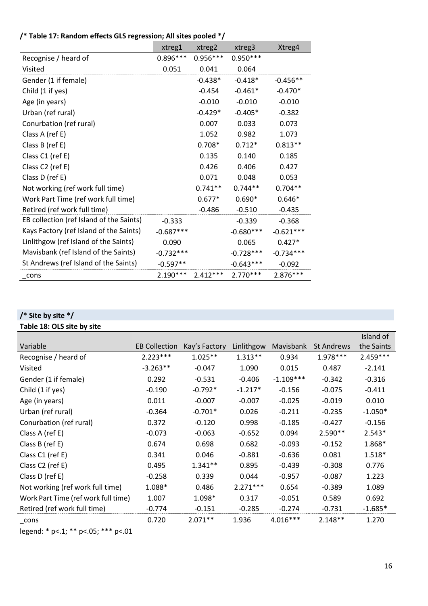| /* Table 17: Random effects GLS regression; All sites pooled */ |  |  |  |  |  |
|-----------------------------------------------------------------|--|--|--|--|--|
|-----------------------------------------------------------------|--|--|--|--|--|

|                                          | xtreg1      | xtreg2     | xtreg3      | Xtreg4      |
|------------------------------------------|-------------|------------|-------------|-------------|
| Recognise / heard of                     | $0.896***$  | $0.956***$ | $0.950***$  |             |
| Visited                                  | 0.051       | 0.041      | 0.064       |             |
| Gender (1 if female)                     |             | $-0.438*$  | $-0.418*$   | $-0.456**$  |
| Child (1 if yes)                         |             | $-0.454$   | $-0.461*$   | $-0.470*$   |
| Age (in years)                           |             | $-0.010$   | $-0.010$    | $-0.010$    |
| Urban (ref rural)                        |             | $-0.429*$  | $-0.405*$   | $-0.382$    |
| Conurbation (ref rural)                  |             | 0.007      | 0.033       | 0.073       |
| Class A (ref E)                          |             | 1.052      | 0.982       | 1.073       |
| Class B (ref E)                          |             | $0.708*$   | $0.712*$    | $0.813**$   |
| Class C1 (ref E)                         |             | 0.135      | 0.140       | 0.185       |
| Class C2 (ref E)                         |             | 0.426      | 0.406       | 0.427       |
| Class D (ref E)                          |             | 0.071      | 0.048       | 0.053       |
| Not working (ref work full time)         |             | $0.741**$  | $0.744**$   | $0.704**$   |
| Work Part Time (ref work full time)      |             | $0.677*$   | $0.690*$    | $0.646*$    |
| Retired (ref work full time)             |             | $-0.486$   | $-0.510$    | $-0.435$    |
| EB collection (ref Island of the Saints) | $-0.333$    |            | $-0.339$    | $-0.368$    |
| Kays Factory (ref Island of the Saints)  | $-0.687***$ |            | $-0.680***$ | $-0.621***$ |
| Linlithgow (ref Island of the Saints)    | 0.090       |            | 0.065       | $0.427*$    |
| Mavisbank (ref Island of the Saints)     | $-0.732***$ |            | $-0.728***$ | $-0.734***$ |
| St Andrews (ref Island of the Saints)    | $-0.597**$  |            | $-0.643***$ | $-0.092$    |
| cons                                     | $2.190***$  | $2.412***$ | $2.770***$  | $2.876***$  |

# **/\* Site by site \*/**

# **Table 18: OLS site by site**

|                                     |                      |               |            |             |                   | Island of  |
|-------------------------------------|----------------------|---------------|------------|-------------|-------------------|------------|
| Variable                            | <b>EB Collection</b> | Kay's Factory | Linlithgow | Mavisbank   | <b>St Andrews</b> | the Saints |
| Recognise / heard of                | $2.223***$           | $1.025**$     | $1.313**$  | 0.934       | 1.978 ***         | $2.459***$ |
| Visited                             | $-3.263**$           | $-0.047$      | 1.090      | 0.015       | 0.487             | $-2.141$   |
| Gender (1 if female)                | 0.292                | $-0.531$      | $-0.406$   | $-1.109***$ | $-0.342$          | $-0.316$   |
| Child (1 if yes)                    | $-0.190$             | $-0.792*$     | $-1.217*$  | $-0.156$    | $-0.075$          | $-0.411$   |
| Age (in years)                      | 0.011                | $-0.007$      | $-0.007$   | $-0.025$    | $-0.019$          | 0.010      |
| Urban (ref rural)                   | $-0.364$             | $-0.701*$     | 0.026      | $-0.211$    | $-0.235$          | $-1.050*$  |
| Conurbation (ref rural)             | 0.372                | $-0.120$      | 0.998      | $-0.185$    | $-0.427$          | $-0.156$   |
| Class A (ref E)                     | $-0.073$             | $-0.063$      | $-0.652$   | 0.094       | $2.590**$         | $2.543*$   |
| Class B (ref E)                     | 0.674                | 0.698         | 0.682      | $-0.093$    | $-0.152$          | 1.868*     |
| Class C1 (ref E)                    | 0.341                | 0.046         | $-0.881$   | $-0.636$    | 0.081             | 1.518*     |
| Class C2 (ref E)                    | 0.495                | $1.341**$     | 0.895      | $-0.439$    | $-0.308$          | 0.776      |
| Class D (ref E)                     | $-0.258$             | 0.339         | 0.044      | $-0.957$    | $-0.087$          | 1.223      |
| Not working (ref work full time)    | 1.088*               | 0.486         | $2.271***$ | 0.654       | $-0.389$          | 1.089      |
| Work Part Time (ref work full time) | 1.007                | 1.098*        | 0.317      | $-0.051$    | 0.589             | 0.692      |
| Retired (ref work full time)        | $-0.774$             | $-0.151$      | $-0.285$   | $-0.274$    | $-0.731$          | $-1.685*$  |
| cons                                | 0.720                | $2.071**$     | 1.936      | 4.016***    | $2.148**$         | 1.270      |

<span id="page-15-0"></span>legend: \* p<.1; \*\* p<.05; \*\*\* p<.01